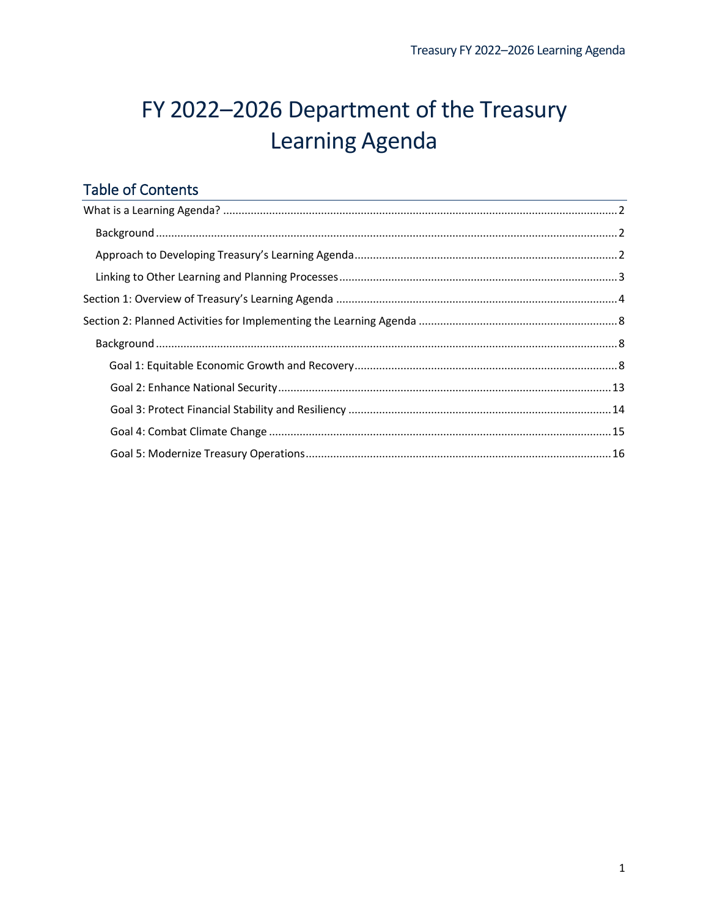# FY 2022-2026 Department of the Treasury Learning Agenda

# **Table of Contents**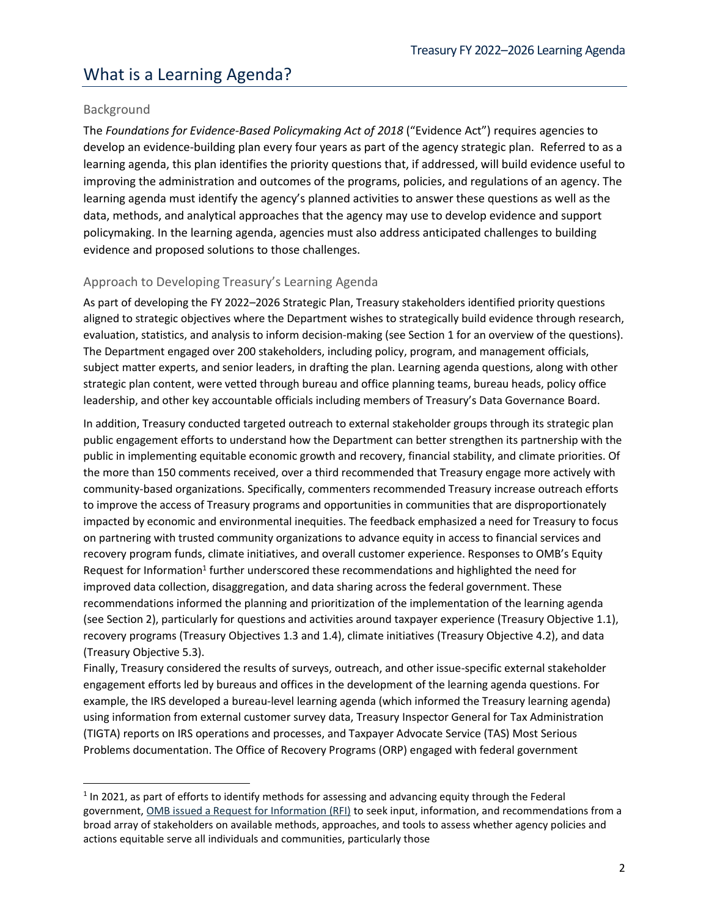# <span id="page-1-0"></span>What is a Learning Agenda?

## <span id="page-1-1"></span>Background

The *Foundations for Evidence-Based Policymaking Act of 2018* ("Evidence Act") requires agencies to develop an evidence-building plan every four years as part of the agency strategic plan. Referred to as a learning agenda, this plan identifies the priority questions that, if addressed, will build evidence useful to improving the administration and outcomes of the programs, policies, and regulations of an agency. The learning agenda must identify the agency's planned activities to answer these questions as well as the data, methods, and analytical approaches that the agency may use to develop evidence and support policymaking. In the learning agenda, agencies must also address anticipated challenges to building evidence and proposed solutions to those challenges.

## <span id="page-1-2"></span>Approach to Developing Treasury's Learning Agenda

As part of developing the FY 2022–2026 Strategic Plan, Treasury stakeholders identified priority questions aligned to strategic objectives where the Department wishes to strategically build evidence through research, evaluation, statistics, and analysis to inform decision-making (see Section 1 for an overview of the questions). The Department engaged over 200 stakeholders, including policy, program, and management officials, subject matter experts, and senior leaders, in drafting the plan. Learning agenda questions, along with other strategic plan content, were vetted through bureau and office planning teams, bureau heads, policy office leadership, and other key accountable officials including members of Treasury's Data Governance Board.

In addition, Treasury conducted targeted outreach to external stakeholder groups through its strategic plan public engagement efforts to understand how the Department can better strengthen its partnership with the public in implementing equitable economic growth and recovery, financial stability, and climate priorities. Of the more than 150 comments received, over a third recommended that Treasury engage more actively with community-based organizations. Specifically, commenters recommended Treasury increase outreach efforts to improve the access of Treasury programs and opportunities in communities that are disproportionately impacted by economic and environmental inequities. The feedback emphasized a need for Treasury to focus on partnering with trusted community organizations to advance equity in access to financial services and recovery program funds, climate initiatives, and overall customer experience. Responses to OMB's Equity Request for Information<sup>1</sup> further underscored these recommendations and highlighted the need for improved data collection, disaggregation, and data sharing across the federal government. These recommendations informed the planning and prioritization of the implementation of the learning agenda (see Section 2), particularly for questions and activities around taxpayer experience (Treasury Objective 1.1), recovery programs (Treasury Objectives 1.3 and 1.4), climate initiatives (Treasury Objective 4.2), and data (Treasury Objective 5.3).

Finally, Treasury considered the results of surveys, outreach, and other issue-specific external stakeholder engagement efforts led by bureaus and offices in the development of the learning agenda questions. For example, the IRS developed a bureau-level learning agenda (which informed the Treasury learning agenda) using information from external customer survey data, Treasury Inspector General for Tax Administration (TIGTA) reports on IRS operations and processes, and Taxpayer Advocate Service (TAS) Most Serious Problems documentation. The Office of Recovery Programs (ORP) engaged with federal government

 $<sup>1</sup>$  In 2021, as part of efforts to identify methods for assessing and advancing equity through the Federal</sup> government[, OMB issued a Request for Information \(RFI\)](https://www.performance.gov/cx/equity-rfi-summary/) to seek input, information, and recommendations from a broad array of stakeholders on available methods, approaches, and tools to assess whether agency policies and actions equitable serve all individuals and communities, particularly those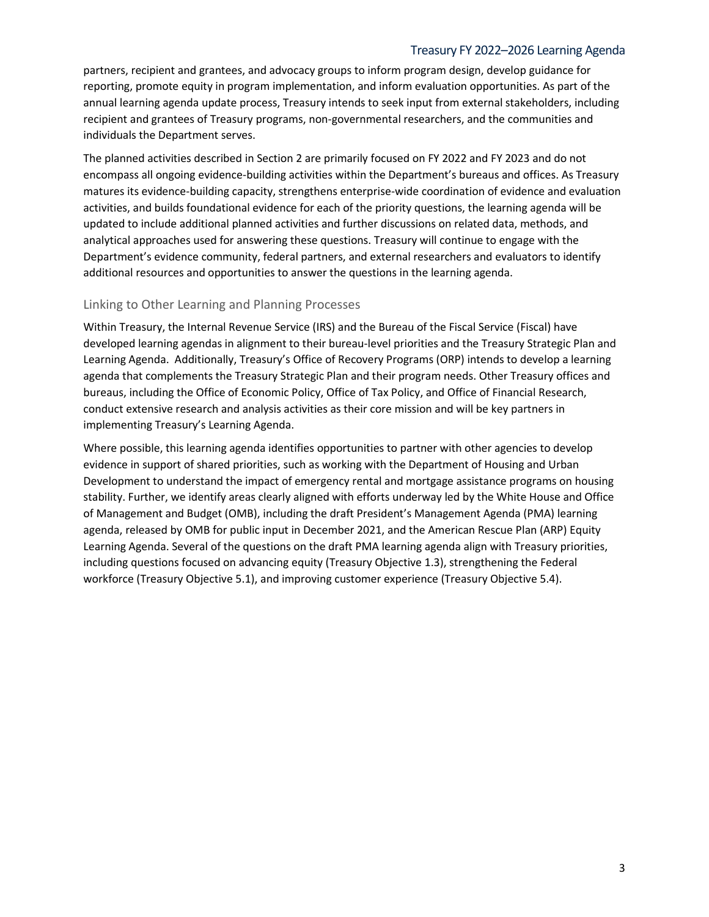#### Treasury FY 2022–2026 Learning Agenda

partners, recipient and grantees, and advocacy groups to inform program design, develop guidance for reporting, promote equity in program implementation, and inform evaluation opportunities. As part of the annual learning agenda update process, Treasury intends to seek input from external stakeholders, including recipient and grantees of Treasury programs, non-governmental researchers, and the communities and individuals the Department serves.

The planned activities described in Section 2 are primarily focused on FY 2022 and FY 2023 and do not encompass all ongoing evidence-building activities within the Department's bureaus and offices. As Treasury matures its evidence-building capacity, strengthens enterprise-wide coordination of evidence and evaluation activities, and builds foundational evidence for each of the priority questions, the learning agenda will be updated to include additional planned activities and further discussions on related data, methods, and analytical approaches used for answering these questions. Treasury will continue to engage with the Department's evidence community, federal partners, and external researchers and evaluators to identify additional resources and opportunities to answer the questions in the learning agenda.

#### <span id="page-2-0"></span>Linking to Other Learning and Planning Processes

Within Treasury, the Internal Revenue Service (IRS) and the Bureau of the Fiscal Service (Fiscal) have developed learning agendas in alignment to their bureau-level priorities and the Treasury Strategic Plan and Learning Agenda. Additionally, Treasury's Office of Recovery Programs (ORP) intends to develop a learning agenda that complements the Treasury Strategic Plan and their program needs. Other Treasury offices and bureaus, including the Office of Economic Policy, Office of Tax Policy, and Office of Financial Research, conduct extensive research and analysis activities as their core mission and will be key partners in implementing Treasury's Learning Agenda.

Where possible, this learning agenda identifies opportunities to partner with other agencies to develop evidence in support of shared priorities, such as working with the Department of Housing and Urban Development to understand the impact of emergency rental and mortgage assistance programs on housing stability. Further, we identify areas clearly aligned with efforts underway led by the White House and Office of Management and Budget (OMB), including the draft President's Management Agenda (PMA) learning agenda, released by OMB for public input in December 2021, and the American Rescue Plan (ARP) Equity Learning Agenda. Several of the questions on the draft PMA learning agenda align with Treasury priorities, including questions focused on advancing equity (Treasury Objective 1.3), strengthening the Federal workforce (Treasury Objective 5.1), and improving customer experience (Treasury Objective 5.4).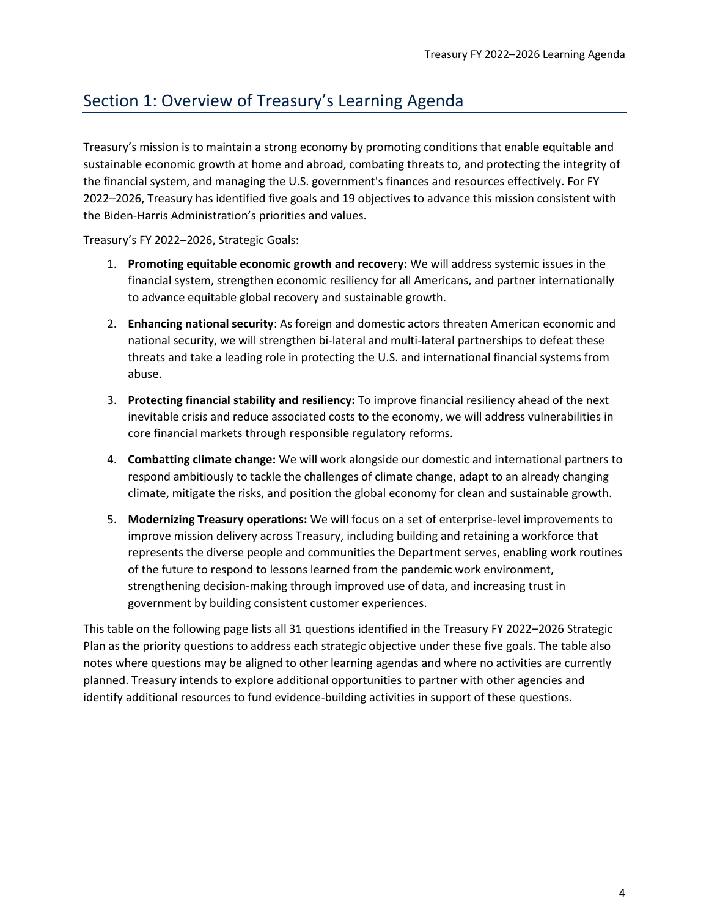# <span id="page-3-0"></span>Section 1: Overview of Treasury's Learning Agenda

Treasury's mission is to maintain a strong economy by promoting conditions that enable equitable and sustainable economic growth at home and abroad, combating threats to, and protecting the integrity of the financial system, and managing the U.S. government's finances and resources effectively. For FY 2022–2026, Treasury has identified five goals and 19 objectives to advance this mission consistent with the Biden-Harris Administration's priorities and values.

Treasury's FY 2022–2026, Strategic Goals:

- 1. **Promoting equitable economic growth and recovery:** We will address systemic issues in the financial system, strengthen economic resiliency for all Americans, and partner internationally to advance equitable global recovery and sustainable growth.
- 2. **Enhancing national security**: As foreign and domestic actors threaten American economic and national security, we will strengthen bi-lateral and multi-lateral partnerships to defeat these threats and take a leading role in protecting the U.S. and international financial systems from abuse.
- 3. **Protecting financial stability and resiliency:** To improve financial resiliency ahead of the next inevitable crisis and reduce associated costs to the economy, we will address vulnerabilities in core financial markets through responsible regulatory reforms.
- 4. **Combatting climate change:** We will work alongside our domestic and international partners to respond ambitiously to tackle the challenges of climate change, adapt to an already changing climate, mitigate the risks, and position the global economy for clean and sustainable growth.
- 5. **Modernizing Treasury operations:** We will focus on a set of enterprise-level improvements to improve mission delivery across Treasury, including building and retaining a workforce that represents the diverse people and communities the Department serves, enabling work routines of the future to respond to lessons learned from the pandemic work environment, strengthening decision-making through improved use of data, and increasing trust in government by building consistent customer experiences.

This table on the following page lists all 31 questions identified in the Treasury FY 2022–2026 Strategic Plan as the priority questions to address each strategic objective under these five goals. The table also notes where questions may be aligned to other learning agendas and where no activities are currently planned. Treasury intends to explore additional opportunities to partner with other agencies and identify additional resources to fund evidence-building activities in support of these questions.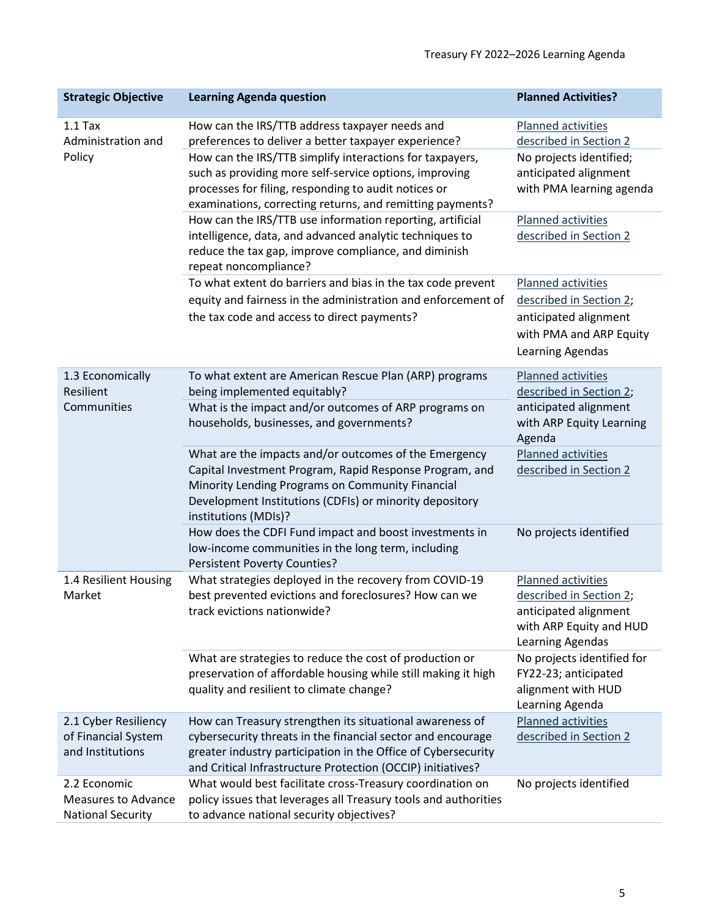| <b>Strategic Objective</b>                                      | <b>Learning Agenda question</b>                                                                                                                                                                                                                         | <b>Planned Activities?</b>                                                                                            |
|-----------------------------------------------------------------|---------------------------------------------------------------------------------------------------------------------------------------------------------------------------------------------------------------------------------------------------------|-----------------------------------------------------------------------------------------------------------------------|
| $1.1$ Tax<br>Administration and                                 | How can the IRS/TTB address taxpayer needs and<br>preferences to deliver a better taxpayer experience?                                                                                                                                                  | Planned activities<br>described in Section 2                                                                          |
| Policy                                                          | How can the IRS/TTB simplify interactions for taxpayers,<br>such as providing more self-service options, improving<br>processes for filing, responding to audit notices or<br>examinations, correcting returns, and remitting payments?                 | No projects identified;<br>anticipated alignment<br>with PMA learning agenda                                          |
|                                                                 | How can the IRS/TTB use information reporting, artificial<br>intelligence, data, and advanced analytic techniques to<br>reduce the tax gap, improve compliance, and diminish<br>repeat noncompliance?                                                   | Planned activities<br>described in Section 2                                                                          |
|                                                                 | To what extent do barriers and bias in the tax code prevent                                                                                                                                                                                             | Planned activities                                                                                                    |
|                                                                 | equity and fairness in the administration and enforcement of                                                                                                                                                                                            | described in Section 2;                                                                                               |
|                                                                 | the tax code and access to direct payments?                                                                                                                                                                                                             | anticipated alignment                                                                                                 |
|                                                                 |                                                                                                                                                                                                                                                         | with PMA and ARP Equity<br>Learning Agendas                                                                           |
| 1.3 Economically                                                | To what extent are American Rescue Plan (ARP) programs                                                                                                                                                                                                  | Planned activities                                                                                                    |
| Resilient                                                       | being implemented equitably?                                                                                                                                                                                                                            | described in Section 2;                                                                                               |
| Communities                                                     | What is the impact and/or outcomes of ARP programs on                                                                                                                                                                                                   | anticipated alignment                                                                                                 |
|                                                                 | households, businesses, and governments?                                                                                                                                                                                                                | with ARP Equity Learning<br>Agenda                                                                                    |
|                                                                 | What are the impacts and/or outcomes of the Emergency                                                                                                                                                                                                   | Planned activities                                                                                                    |
|                                                                 | Capital Investment Program, Rapid Response Program, and<br>Minority Lending Programs on Community Financial<br>Development Institutions (CDFIs) or minority depository                                                                                  | described in Section 2                                                                                                |
|                                                                 | institutions (MDIs)?                                                                                                                                                                                                                                    |                                                                                                                       |
|                                                                 | How does the CDFI Fund impact and boost investments in<br>low-income communities in the long term, including<br><b>Persistent Poverty Counties?</b>                                                                                                     | No projects identified                                                                                                |
| 1.4 Resilient Housing<br>Market                                 | What strategies deployed in the recovery from COVID-19<br>best prevented evictions and foreclosures? How can we<br>track evictions nationwide?                                                                                                          | Planned activities<br>described in Section 2;<br>anticipated alignment<br>with ARP Equity and HUD<br>Learning Agendas |
|                                                                 | What are strategies to reduce the cost of production or<br>preservation of affordable housing while still making it high<br>quality and resilient to climate change?                                                                                    | No projects identified for<br>FY22-23; anticipated<br>alignment with HUD<br>Learning Agenda                           |
| 2.1 Cyber Resiliency<br>of Financial System<br>and Institutions | How can Treasury strengthen its situational awareness of<br>cybersecurity threats in the financial sector and encourage<br>greater industry participation in the Office of Cybersecurity<br>and Critical Infrastructure Protection (OCCIP) initiatives? | Planned activities<br>described in Section 2                                                                          |
| 2.2 Economic                                                    | What would best facilitate cross-Treasury coordination on                                                                                                                                                                                               | No projects identified                                                                                                |
| <b>Measures to Advance</b>                                      | policy issues that leverages all Treasury tools and authorities                                                                                                                                                                                         |                                                                                                                       |
| <b>National Security</b>                                        | to advance national security objectives?                                                                                                                                                                                                                |                                                                                                                       |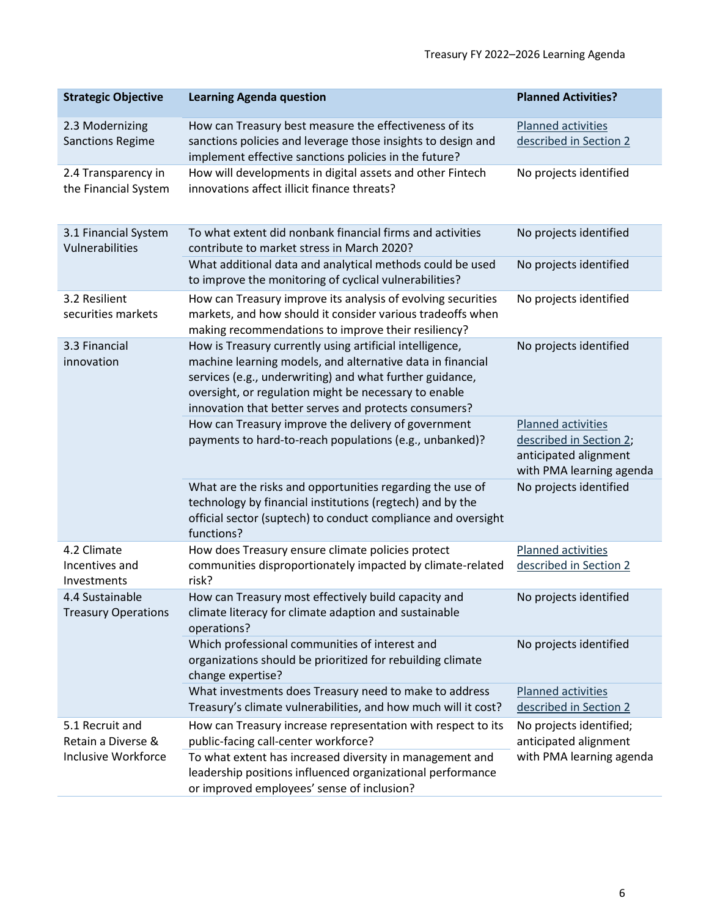| <b>Strategic Objective</b>                    | <b>Learning Agenda question</b>                                                                                                                                                                                                                                                                      | <b>Planned Activities?</b>                                                                         |
|-----------------------------------------------|------------------------------------------------------------------------------------------------------------------------------------------------------------------------------------------------------------------------------------------------------------------------------------------------------|----------------------------------------------------------------------------------------------------|
| 2.3 Modernizing<br><b>Sanctions Regime</b>    | How can Treasury best measure the effectiveness of its<br>sanctions policies and leverage those insights to design and<br>implement effective sanctions policies in the future?                                                                                                                      | Planned activities<br>described in Section 2                                                       |
| 2.4 Transparency in<br>the Financial System   | How will developments in digital assets and other Fintech<br>innovations affect illicit finance threats?                                                                                                                                                                                             | No projects identified                                                                             |
| 3.1 Financial System<br>Vulnerabilities       | To what extent did nonbank financial firms and activities<br>contribute to market stress in March 2020?                                                                                                                                                                                              | No projects identified                                                                             |
|                                               | What additional data and analytical methods could be used<br>to improve the monitoring of cyclical vulnerabilities?                                                                                                                                                                                  | No projects identified                                                                             |
| 3.2 Resilient<br>securities markets           | How can Treasury improve its analysis of evolving securities<br>markets, and how should it consider various tradeoffs when<br>making recommendations to improve their resiliency?                                                                                                                    | No projects identified                                                                             |
| 3.3 Financial<br>innovation                   | How is Treasury currently using artificial intelligence,<br>machine learning models, and alternative data in financial<br>services (e.g., underwriting) and what further guidance,<br>oversight, or regulation might be necessary to enable<br>innovation that better serves and protects consumers? | No projects identified                                                                             |
|                                               | How can Treasury improve the delivery of government<br>payments to hard-to-reach populations (e.g., unbanked)?                                                                                                                                                                                       | Planned activities<br>described in Section 2;<br>anticipated alignment<br>with PMA learning agenda |
|                                               | What are the risks and opportunities regarding the use of<br>technology by financial institutions (regtech) and by the<br>official sector (suptech) to conduct compliance and oversight<br>functions?                                                                                                | No projects identified                                                                             |
| 4.2 Climate<br>Incentives and<br>Investments  | How does Treasury ensure climate policies protect<br>communities disproportionately impacted by climate-related<br>risk?                                                                                                                                                                             | Planned activities<br>described in Section 2                                                       |
| 4.4 Sustainable<br><b>Treasury Operations</b> | How can Treasury most effectively build capacity and<br>climate literacy for climate adaption and sustainable<br>operations?                                                                                                                                                                         | No projects identified                                                                             |
|                                               | Which professional communities of interest and<br>organizations should be prioritized for rebuilding climate<br>change expertise?                                                                                                                                                                    | No projects identified                                                                             |
|                                               | What investments does Treasury need to make to address<br>Treasury's climate vulnerabilities, and how much will it cost?                                                                                                                                                                             | Planned activities<br>described in Section 2                                                       |
| 5.1 Recruit and<br>Retain a Diverse &         | How can Treasury increase representation with respect to its<br>public-facing call-center workforce?                                                                                                                                                                                                 | No projects identified;<br>anticipated alignment                                                   |
| <b>Inclusive Workforce</b>                    | To what extent has increased diversity in management and<br>leadership positions influenced organizational performance<br>or improved employees' sense of inclusion?                                                                                                                                 | with PMA learning agenda                                                                           |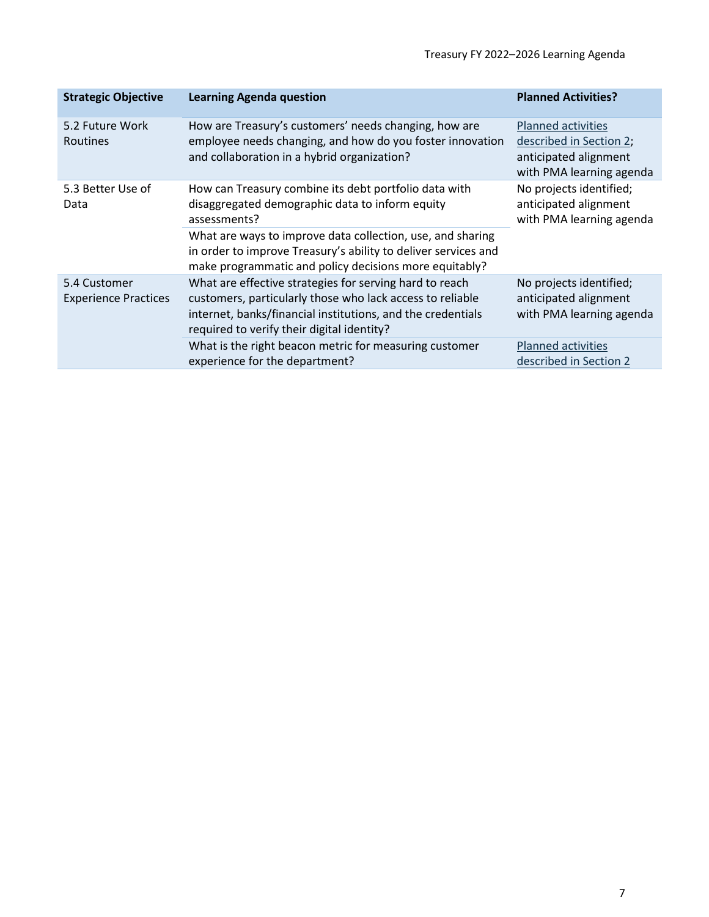| <b>Strategic Objective</b>                  | <b>Learning Agenda question</b>                                                                                                                                                                                                   | <b>Planned Activities?</b>                                                                                |
|---------------------------------------------|-----------------------------------------------------------------------------------------------------------------------------------------------------------------------------------------------------------------------------------|-----------------------------------------------------------------------------------------------------------|
| 5.2 Future Work<br><b>Routines</b>          | How are Treasury's customers' needs changing, how are<br>employee needs changing, and how do you foster innovation<br>and collaboration in a hybrid organization?                                                                 | <b>Planned activities</b><br>described in Section 2;<br>anticipated alignment<br>with PMA learning agenda |
| 5.3 Better Use of<br>Data                   | How can Treasury combine its debt portfolio data with<br>disaggregated demographic data to inform equity<br>assessments?                                                                                                          | No projects identified;<br>anticipated alignment<br>with PMA learning agenda                              |
|                                             | What are ways to improve data collection, use, and sharing<br>in order to improve Treasury's ability to deliver services and<br>make programmatic and policy decisions more equitably?                                            |                                                                                                           |
| 5.4 Customer<br><b>Experience Practices</b> | What are effective strategies for serving hard to reach<br>customers, particularly those who lack access to reliable<br>internet, banks/financial institutions, and the credentials<br>required to verify their digital identity? | No projects identified;<br>anticipated alignment<br>with PMA learning agenda                              |
|                                             | What is the right beacon metric for measuring customer<br>experience for the department?                                                                                                                                          | <b>Planned activities</b><br>described in Section 2                                                       |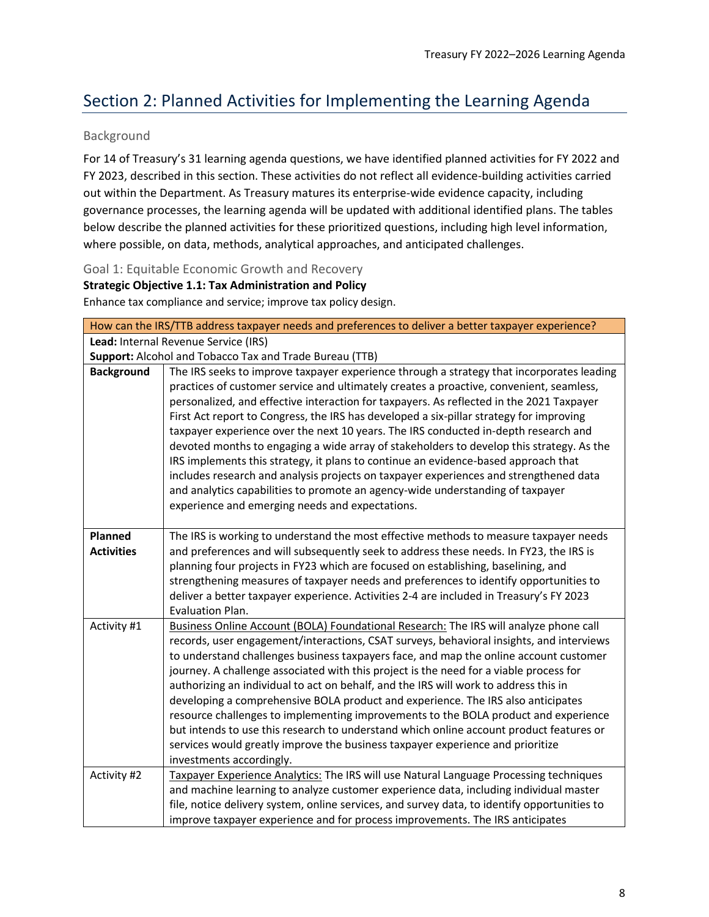# <span id="page-7-0"></span>Section 2: Planned Activities for Implementing the Learning Agenda

# <span id="page-7-1"></span>Background

For 14 of Treasury's 31 learning agenda questions, we have identified planned activities for FY 2022 and FY 2023, described in this section. These activities do not reflect all evidence-building activities carried out within the Department. As Treasury matures its enterprise-wide evidence capacity, including governance processes, the learning agenda will be updated with additional identified plans. The tables below describe the planned activities for these prioritized questions, including high level information, where possible, on data, methods, analytical approaches, and anticipated challenges.

<span id="page-7-2"></span>Goal 1: Equitable Economic Growth and Recovery

### **Strategic Objective 1.1: Tax Administration and Policy**

Enhance tax compliance and service; improve tax policy design.

| How can the IRS/TTB address taxpayer needs and preferences to deliver a better taxpayer experience? |                                                                                                                                                                                                                                                                                                                                                                                                                                                                                                                                                                                                                                                                                                                                                                                                                                                                                    |  |
|-----------------------------------------------------------------------------------------------------|------------------------------------------------------------------------------------------------------------------------------------------------------------------------------------------------------------------------------------------------------------------------------------------------------------------------------------------------------------------------------------------------------------------------------------------------------------------------------------------------------------------------------------------------------------------------------------------------------------------------------------------------------------------------------------------------------------------------------------------------------------------------------------------------------------------------------------------------------------------------------------|--|
| Lead: Internal Revenue Service (IRS)                                                                |                                                                                                                                                                                                                                                                                                                                                                                                                                                                                                                                                                                                                                                                                                                                                                                                                                                                                    |  |
|                                                                                                     | Support: Alcohol and Tobacco Tax and Trade Bureau (TTB)                                                                                                                                                                                                                                                                                                                                                                                                                                                                                                                                                                                                                                                                                                                                                                                                                            |  |
| <b>Background</b>                                                                                   | The IRS seeks to improve taxpayer experience through a strategy that incorporates leading<br>practices of customer service and ultimately creates a proactive, convenient, seamless,<br>personalized, and effective interaction for taxpayers. As reflected in the 2021 Taxpayer<br>First Act report to Congress, the IRS has developed a six-pillar strategy for improving<br>taxpayer experience over the next 10 years. The IRS conducted in-depth research and<br>devoted months to engaging a wide array of stakeholders to develop this strategy. As the<br>IRS implements this strategy, it plans to continue an evidence-based approach that<br>includes research and analysis projects on taxpayer experiences and strengthened data<br>and analytics capabilities to promote an agency-wide understanding of taxpayer<br>experience and emerging needs and expectations. |  |
| Planned<br><b>Activities</b>                                                                        | The IRS is working to understand the most effective methods to measure taxpayer needs<br>and preferences and will subsequently seek to address these needs. In FY23, the IRS is<br>planning four projects in FY23 which are focused on establishing, baselining, and<br>strengthening measures of taxpayer needs and preferences to identify opportunities to<br>deliver a better taxpayer experience. Activities 2-4 are included in Treasury's FY 2023<br>Evaluation Plan.                                                                                                                                                                                                                                                                                                                                                                                                       |  |
| Activity #1                                                                                         | Business Online Account (BOLA) Foundational Research: The IRS will analyze phone call<br>records, user engagement/interactions, CSAT surveys, behavioral insights, and interviews<br>to understand challenges business taxpayers face, and map the online account customer<br>journey. A challenge associated with this project is the need for a viable process for<br>authorizing an individual to act on behalf, and the IRS will work to address this in<br>developing a comprehensive BOLA product and experience. The IRS also anticipates<br>resource challenges to implementing improvements to the BOLA product and experience<br>but intends to use this research to understand which online account product features or<br>services would greatly improve the business taxpayer experience and prioritize<br>investments accordingly.                                   |  |
| Activity #2                                                                                         | Taxpayer Experience Analytics: The IRS will use Natural Language Processing techniques<br>and machine learning to analyze customer experience data, including individual master<br>file, notice delivery system, online services, and survey data, to identify opportunities to<br>improve taxpayer experience and for process improvements. The IRS anticipates                                                                                                                                                                                                                                                                                                                                                                                                                                                                                                                   |  |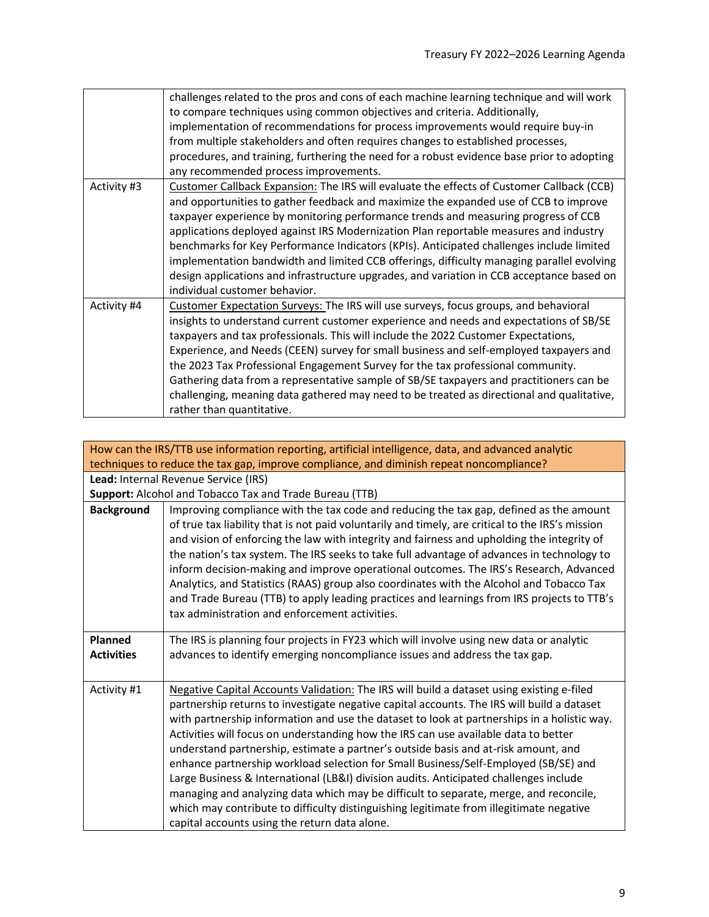|             | challenges related to the pros and cons of each machine learning technique and will work<br>to compare techniques using common objectives and criteria. Additionally,<br>implementation of recommendations for process improvements would require buy-in<br>from multiple stakeholders and often requires changes to established processes,<br>procedures, and training, furthering the need for a robust evidence base prior to adopting<br>any recommended process improvements.                                                                                                                                                                                                      |
|-------------|-----------------------------------------------------------------------------------------------------------------------------------------------------------------------------------------------------------------------------------------------------------------------------------------------------------------------------------------------------------------------------------------------------------------------------------------------------------------------------------------------------------------------------------------------------------------------------------------------------------------------------------------------------------------------------------------|
| Activity #3 | Customer Callback Expansion: The IRS will evaluate the effects of Customer Callback (CCB)<br>and opportunities to gather feedback and maximize the expanded use of CCB to improve<br>taxpayer experience by monitoring performance trends and measuring progress of CCB<br>applications deployed against IRS Modernization Plan reportable measures and industry<br>benchmarks for Key Performance Indicators (KPIs). Anticipated challenges include limited<br>implementation bandwidth and limited CCB offerings, difficulty managing parallel evolving<br>design applications and infrastructure upgrades, and variation in CCB acceptance based on<br>individual customer behavior. |
| Activity #4 | Customer Expectation Surveys: The IRS will use surveys, focus groups, and behavioral<br>insights to understand current customer experience and needs and expectations of SB/SE<br>taxpayers and tax professionals. This will include the 2022 Customer Expectations,<br>Experience, and Needs (CEEN) survey for small business and self-employed taxpayers and<br>the 2023 Tax Professional Engagement Survey for the tax professional community.<br>Gathering data from a representative sample of SB/SE taxpayers and practitioners can be<br>challenging, meaning data gathered may need to be treated as directional and qualitative,<br>rather than quantitative.                  |

<span id="page-8-0"></span>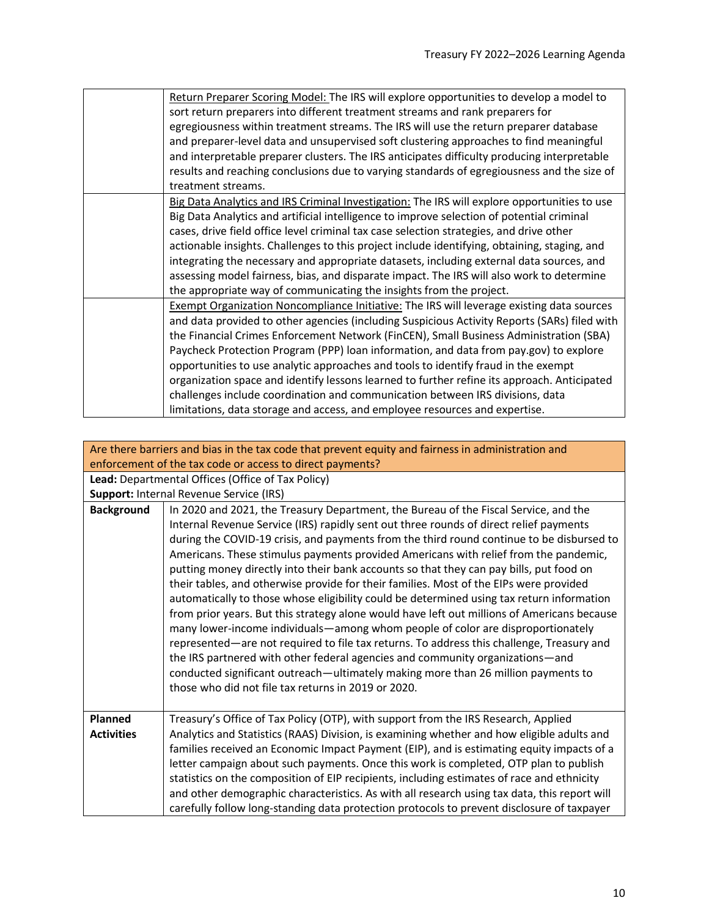| Return Preparer Scoring Model: The IRS will explore opportunities to develop a model to<br>sort return preparers into different treatment streams and rank preparers for<br>egregiousness within treatment streams. The IRS will use the return preparer database<br>and preparer-level data and unsupervised soft clustering approaches to find meaningful<br>and interpretable preparer clusters. The IRS anticipates difficulty producing interpretable<br>results and reaching conclusions due to varying standards of egregiousness and the size of<br>treatment streams.                                                                                                                                                    |
|-----------------------------------------------------------------------------------------------------------------------------------------------------------------------------------------------------------------------------------------------------------------------------------------------------------------------------------------------------------------------------------------------------------------------------------------------------------------------------------------------------------------------------------------------------------------------------------------------------------------------------------------------------------------------------------------------------------------------------------|
| Big Data Analytics and IRS Criminal Investigation: The IRS will explore opportunities to use<br>Big Data Analytics and artificial intelligence to improve selection of potential criminal<br>cases, drive field office level criminal tax case selection strategies, and drive other<br>actionable insights. Challenges to this project include identifying, obtaining, staging, and<br>integrating the necessary and appropriate datasets, including external data sources, and<br>assessing model fairness, bias, and disparate impact. The IRS will also work to determine<br>the appropriate way of communicating the insights from the project.                                                                              |
| Exempt Organization Noncompliance Initiative: The IRS will leverage existing data sources<br>and data provided to other agencies (including Suspicious Activity Reports (SARs) filed with<br>the Financial Crimes Enforcement Network (FinCEN), Small Business Administration (SBA)<br>Paycheck Protection Program (PPP) loan information, and data from pay gov) to explore<br>opportunities to use analytic approaches and tools to identify fraud in the exempt<br>organization space and identify lessons learned to further refine its approach. Anticipated<br>challenges include coordination and communication between IRS divisions, data<br>limitations, data storage and access, and employee resources and expertise. |

<span id="page-9-0"></span>

|                              | Are there barriers and bias in the tax code that prevent equity and fairness in administration and                                                                                                                                                                                                                                                                                                                                                                                                                                                                                                                                                                                                                                                                                                                                                                                                                                                                                                                                                                                                                                                                |  |
|------------------------------|-------------------------------------------------------------------------------------------------------------------------------------------------------------------------------------------------------------------------------------------------------------------------------------------------------------------------------------------------------------------------------------------------------------------------------------------------------------------------------------------------------------------------------------------------------------------------------------------------------------------------------------------------------------------------------------------------------------------------------------------------------------------------------------------------------------------------------------------------------------------------------------------------------------------------------------------------------------------------------------------------------------------------------------------------------------------------------------------------------------------------------------------------------------------|--|
|                              | enforcement of the tax code or access to direct payments?                                                                                                                                                                                                                                                                                                                                                                                                                                                                                                                                                                                                                                                                                                                                                                                                                                                                                                                                                                                                                                                                                                         |  |
|                              | Lead: Departmental Offices (Office of Tax Policy)                                                                                                                                                                                                                                                                                                                                                                                                                                                                                                                                                                                                                                                                                                                                                                                                                                                                                                                                                                                                                                                                                                                 |  |
|                              | Support: Internal Revenue Service (IRS)                                                                                                                                                                                                                                                                                                                                                                                                                                                                                                                                                                                                                                                                                                                                                                                                                                                                                                                                                                                                                                                                                                                           |  |
| <b>Background</b>            | In 2020 and 2021, the Treasury Department, the Bureau of the Fiscal Service, and the<br>Internal Revenue Service (IRS) rapidly sent out three rounds of direct relief payments<br>during the COVID-19 crisis, and payments from the third round continue to be disbursed to<br>Americans. These stimulus payments provided Americans with relief from the pandemic,<br>putting money directly into their bank accounts so that they can pay bills, put food on<br>their tables, and otherwise provide for their families. Most of the EIPs were provided<br>automatically to those whose eligibility could be determined using tax return information<br>from prior years. But this strategy alone would have left out millions of Americans because<br>many lower-income individuals—among whom people of color are disproportionately<br>represented—are not required to file tax returns. To address this challenge, Treasury and<br>the IRS partnered with other federal agencies and community organizations—and<br>conducted significant outreach—ultimately making more than 26 million payments to<br>those who did not file tax returns in 2019 or 2020. |  |
| Planned<br><b>Activities</b> | Treasury's Office of Tax Policy (OTP), with support from the IRS Research, Applied<br>Analytics and Statistics (RAAS) Division, is examining whether and how eligible adults and                                                                                                                                                                                                                                                                                                                                                                                                                                                                                                                                                                                                                                                                                                                                                                                                                                                                                                                                                                                  |  |
|                              | families received an Economic Impact Payment (EIP), and is estimating equity impacts of a                                                                                                                                                                                                                                                                                                                                                                                                                                                                                                                                                                                                                                                                                                                                                                                                                                                                                                                                                                                                                                                                         |  |
|                              | letter campaign about such payments. Once this work is completed, OTP plan to publish                                                                                                                                                                                                                                                                                                                                                                                                                                                                                                                                                                                                                                                                                                                                                                                                                                                                                                                                                                                                                                                                             |  |
|                              | statistics on the composition of EIP recipients, including estimates of race and ethnicity                                                                                                                                                                                                                                                                                                                                                                                                                                                                                                                                                                                                                                                                                                                                                                                                                                                                                                                                                                                                                                                                        |  |
|                              | and other demographic characteristics. As with all research using tax data, this report will                                                                                                                                                                                                                                                                                                                                                                                                                                                                                                                                                                                                                                                                                                                                                                                                                                                                                                                                                                                                                                                                      |  |
|                              | carefully follow long-standing data protection protocols to prevent disclosure of taxpayer                                                                                                                                                                                                                                                                                                                                                                                                                                                                                                                                                                                                                                                                                                                                                                                                                                                                                                                                                                                                                                                                        |  |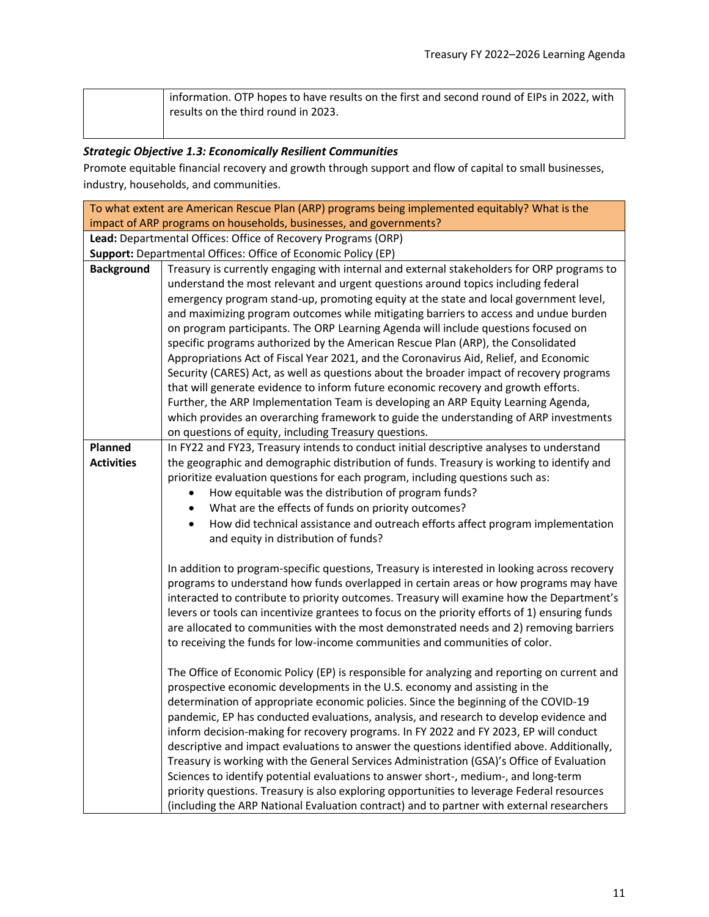| information. OTP hopes to have results on the first and second round of EIPs in 2022, with |
|--------------------------------------------------------------------------------------------|
| results on the third round in 2023.                                                        |

# *Strategic Objective 1.3: Economically Resilient Communities*

Promote equitable financial recovery and growth through support and flow of capital to small businesses, industry, households, and communities.

<span id="page-10-0"></span>

| To what extent are American Rescue Plan (ARP) programs being implemented equitably? What is the |                                                                                                |  |
|-------------------------------------------------------------------------------------------------|------------------------------------------------------------------------------------------------|--|
| impact of ARP programs on households, businesses, and governments?                              |                                                                                                |  |
|                                                                                                 | Lead: Departmental Offices: Office of Recovery Programs (ORP)                                  |  |
|                                                                                                 | Support: Departmental Offices: Office of Economic Policy (EP)                                  |  |
| <b>Background</b>                                                                               | Treasury is currently engaging with internal and external stakeholders for ORP programs to     |  |
|                                                                                                 | understand the most relevant and urgent questions around topics including federal              |  |
|                                                                                                 | emergency program stand-up, promoting equity at the state and local government level,          |  |
|                                                                                                 | and maximizing program outcomes while mitigating barriers to access and undue burden           |  |
|                                                                                                 | on program participants. The ORP Learning Agenda will include questions focused on             |  |
|                                                                                                 | specific programs authorized by the American Rescue Plan (ARP), the Consolidated               |  |
|                                                                                                 | Appropriations Act of Fiscal Year 2021, and the Coronavirus Aid, Relief, and Economic          |  |
|                                                                                                 | Security (CARES) Act, as well as questions about the broader impact of recovery programs       |  |
|                                                                                                 | that will generate evidence to inform future economic recovery and growth efforts.             |  |
|                                                                                                 | Further, the ARP Implementation Team is developing an ARP Equity Learning Agenda,              |  |
|                                                                                                 | which provides an overarching framework to guide the understanding of ARP investments          |  |
|                                                                                                 | on questions of equity, including Treasury questions.                                          |  |
| <b>Planned</b><br><b>Activities</b>                                                             | In FY22 and FY23, Treasury intends to conduct initial descriptive analyses to understand       |  |
|                                                                                                 | the geographic and demographic distribution of funds. Treasury is working to identify and      |  |
|                                                                                                 | prioritize evaluation questions for each program, including questions such as:                 |  |
|                                                                                                 | How equitable was the distribution of program funds?                                           |  |
|                                                                                                 | What are the effects of funds on priority outcomes?                                            |  |
|                                                                                                 | How did technical assistance and outreach efforts affect program implementation                |  |
|                                                                                                 | and equity in distribution of funds?                                                           |  |
|                                                                                                 | In addition to program-specific questions, Treasury is interested in looking across recovery   |  |
|                                                                                                 | programs to understand how funds overlapped in certain areas or how programs may have          |  |
|                                                                                                 | interacted to contribute to priority outcomes. Treasury will examine how the Department's      |  |
|                                                                                                 | levers or tools can incentivize grantees to focus on the priority efforts of 1) ensuring funds |  |
|                                                                                                 | are allocated to communities with the most demonstrated needs and 2) removing barriers         |  |
|                                                                                                 | to receiving the funds for low-income communities and communities of color.                    |  |
|                                                                                                 |                                                                                                |  |
|                                                                                                 | The Office of Economic Policy (EP) is responsible for analyzing and reporting on current and   |  |
|                                                                                                 | prospective economic developments in the U.S. economy and assisting in the                     |  |
|                                                                                                 | determination of appropriate economic policies. Since the beginning of the COVID-19            |  |
|                                                                                                 | pandemic, EP has conducted evaluations, analysis, and research to develop evidence and         |  |
|                                                                                                 | inform decision-making for recovery programs. In FY 2022 and FY 2023, EP will conduct          |  |
|                                                                                                 | descriptive and impact evaluations to answer the questions identified above. Additionally,     |  |
|                                                                                                 | Treasury is working with the General Services Administration (GSA)'s Office of Evaluation      |  |
|                                                                                                 | Sciences to identify potential evaluations to answer short-, medium-, and long-term            |  |
|                                                                                                 | priority questions. Treasury is also exploring opportunities to leverage Federal resources     |  |
|                                                                                                 | (including the ARP National Evaluation contract) and to partner with external researchers      |  |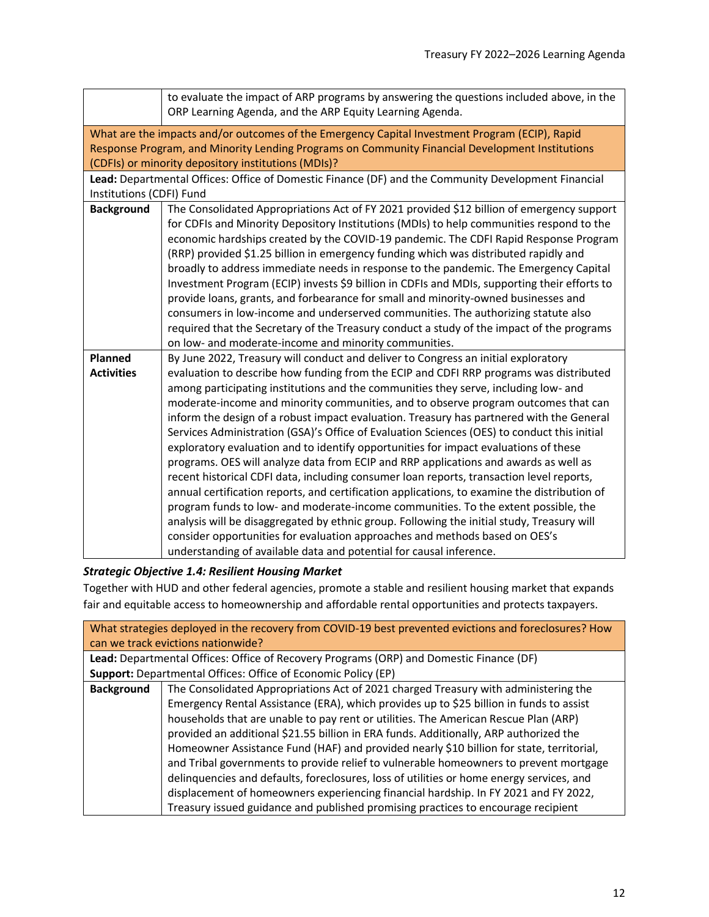<span id="page-11-0"></span>

|                          | to evaluate the impact of ARP programs by answering the questions included above, in the<br>ORP Learning Agenda, and the ARP Equity Learning Agenda.                                    |
|--------------------------|-----------------------------------------------------------------------------------------------------------------------------------------------------------------------------------------|
|                          | What are the impacts and/or outcomes of the Emergency Capital Investment Program (ECIP), Rapid                                                                                          |
|                          | Response Program, and Minority Lending Programs on Community Financial Development Institutions                                                                                         |
|                          | (CDFIs) or minority depository institutions (MDIs)?                                                                                                                                     |
|                          | Lead: Departmental Offices: Office of Domestic Finance (DF) and the Community Development Financial                                                                                     |
| Institutions (CDFI) Fund |                                                                                                                                                                                         |
| <b>Background</b>        | The Consolidated Appropriations Act of FY 2021 provided \$12 billion of emergency support                                                                                               |
|                          | for CDFIs and Minority Depository Institutions (MDIs) to help communities respond to the                                                                                                |
|                          | economic hardships created by the COVID-19 pandemic. The CDFI Rapid Response Program                                                                                                    |
|                          | (RRP) provided \$1.25 billion in emergency funding which was distributed rapidly and                                                                                                    |
|                          | broadly to address immediate needs in response to the pandemic. The Emergency Capital                                                                                                   |
|                          | Investment Program (ECIP) invests \$9 billion in CDFIs and MDIs, supporting their efforts to                                                                                            |
|                          | provide loans, grants, and forbearance for small and minority-owned businesses and                                                                                                      |
|                          | consumers in low-income and underserved communities. The authorizing statute also                                                                                                       |
|                          | required that the Secretary of the Treasury conduct a study of the impact of the programs                                                                                               |
|                          | on low- and moderate-income and minority communities.                                                                                                                                   |
| Planned                  | By June 2022, Treasury will conduct and deliver to Congress an initial exploratory                                                                                                      |
| <b>Activities</b>        | evaluation to describe how funding from the ECIP and CDFI RRP programs was distributed                                                                                                  |
|                          | among participating institutions and the communities they serve, including low- and                                                                                                     |
|                          | moderate-income and minority communities, and to observe program outcomes that can                                                                                                      |
|                          | inform the design of a robust impact evaluation. Treasury has partnered with the General<br>Services Administration (GSA)'s Office of Evaluation Sciences (OES) to conduct this initial |
|                          | exploratory evaluation and to identify opportunities for impact evaluations of these                                                                                                    |
|                          | programs. OES will analyze data from ECIP and RRP applications and awards as well as                                                                                                    |
|                          | recent historical CDFI data, including consumer loan reports, transaction level reports,                                                                                                |
|                          | annual certification reports, and certification applications, to examine the distribution of                                                                                            |
|                          | program funds to low- and moderate-income communities. To the extent possible, the                                                                                                      |
|                          | analysis will be disaggregated by ethnic group. Following the initial study, Treasury will                                                                                              |
|                          | consider opportunities for evaluation approaches and methods based on OES's                                                                                                             |
|                          | understanding of available data and potential for causal inference.                                                                                                                     |
|                          |                                                                                                                                                                                         |

# *Strategic Objective 1.4: Resilient Housing Market*

Together with HUD and other federal agencies, promote a stable and resilient housing market that expands fair and equitable access to homeownership and affordable rental opportunities and protects taxpayers.

<span id="page-11-1"></span>

|                   | What strategies deployed in the recovery from COVID-19 best prevented evictions and foreclosures? How |  |  |  |
|-------------------|-------------------------------------------------------------------------------------------------------|--|--|--|
|                   | can we track evictions nationwide?                                                                    |  |  |  |
|                   | Lead: Departmental Offices: Office of Recovery Programs (ORP) and Domestic Finance (DF)               |  |  |  |
|                   | Support: Departmental Offices: Office of Economic Policy (EP)                                         |  |  |  |
| <b>Background</b> | The Consolidated Appropriations Act of 2021 charged Treasury with administering the                   |  |  |  |
|                   | Emergency Rental Assistance (ERA), which provides up to \$25 billion in funds to assist               |  |  |  |
|                   | households that are unable to pay rent or utilities. The American Rescue Plan (ARP)                   |  |  |  |
|                   | provided an additional \$21.55 billion in ERA funds. Additionally, ARP authorized the                 |  |  |  |
|                   | Homeowner Assistance Fund (HAF) and provided nearly \$10 billion for state, territorial,              |  |  |  |
|                   | and Tribal governments to provide relief to vulnerable homeowners to prevent mortgage                 |  |  |  |
|                   | delinguencies and defaults, foreclosures, loss of utilities or home energy services, and              |  |  |  |
|                   | displacement of homeowners experiencing financial hardship. In FY 2021 and FY 2022,                   |  |  |  |
|                   | Treasury issued guidance and published promising practices to encourage recipient                     |  |  |  |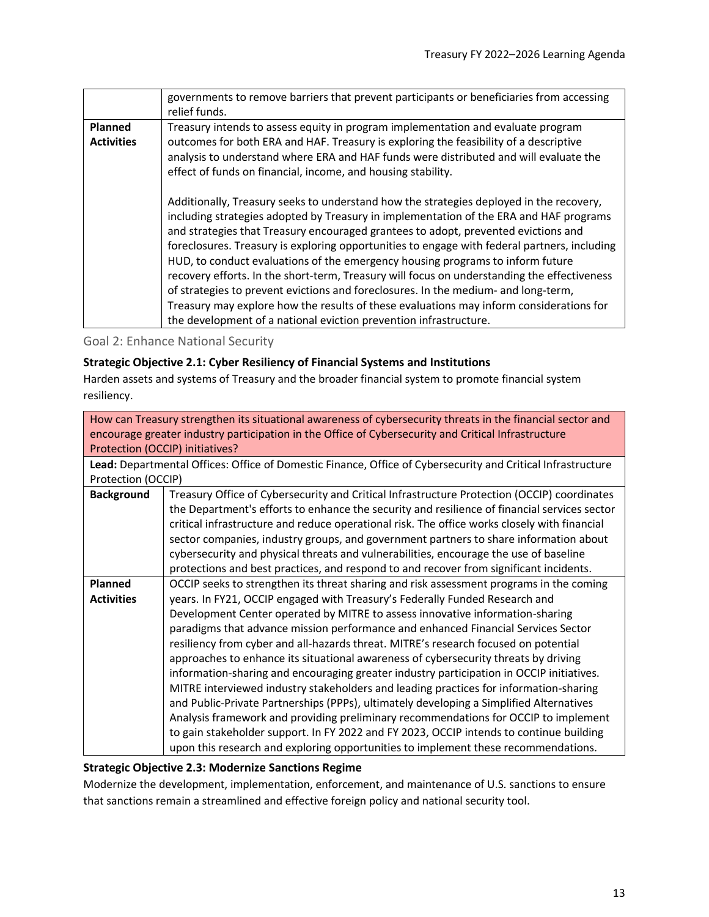|                                     | governments to remove barriers that prevent participants or beneficiaries from accessing<br>relief funds.                                                                                                                                                                                                                                                                                                                                                                                                                                                                                                                                                                                                                                                                                                      |  |  |  |
|-------------------------------------|----------------------------------------------------------------------------------------------------------------------------------------------------------------------------------------------------------------------------------------------------------------------------------------------------------------------------------------------------------------------------------------------------------------------------------------------------------------------------------------------------------------------------------------------------------------------------------------------------------------------------------------------------------------------------------------------------------------------------------------------------------------------------------------------------------------|--|--|--|
| <b>Planned</b><br><b>Activities</b> | Treasury intends to assess equity in program implementation and evaluate program<br>outcomes for both ERA and HAF. Treasury is exploring the feasibility of a descriptive<br>analysis to understand where ERA and HAF funds were distributed and will evaluate the<br>effect of funds on financial, income, and housing stability.                                                                                                                                                                                                                                                                                                                                                                                                                                                                             |  |  |  |
|                                     | Additionally, Treasury seeks to understand how the strategies deployed in the recovery,<br>including strategies adopted by Treasury in implementation of the ERA and HAF programs<br>and strategies that Treasury encouraged grantees to adopt, prevented evictions and<br>foreclosures. Treasury is exploring opportunities to engage with federal partners, including<br>HUD, to conduct evaluations of the emergency housing programs to inform future<br>recovery efforts. In the short-term, Treasury will focus on understanding the effectiveness<br>of strategies to prevent evictions and foreclosures. In the medium- and long-term,<br>Treasury may explore how the results of these evaluations may inform considerations for<br>the development of a national eviction prevention infrastructure. |  |  |  |

<span id="page-12-0"></span>Goal 2: Enhance National Security

### **Strategic Objective 2.1: Cyber Resiliency of Financial Systems and Institutions**

Harden assets and systems of Treasury and the broader financial system to promote financial system resiliency.

<span id="page-12-1"></span>

|                    | How can Treasury strengthen its situational awareness of cybersecurity threats in the financial sector and  |  |  |  |  |
|--------------------|-------------------------------------------------------------------------------------------------------------|--|--|--|--|
|                    | encourage greater industry participation in the Office of Cybersecurity and Critical Infrastructure         |  |  |  |  |
|                    | Protection (OCCIP) initiatives?                                                                             |  |  |  |  |
|                    | Lead: Departmental Offices: Office of Domestic Finance, Office of Cybersecurity and Critical Infrastructure |  |  |  |  |
| Protection (OCCIP) |                                                                                                             |  |  |  |  |
| <b>Background</b>  | Treasury Office of Cybersecurity and Critical Infrastructure Protection (OCCIP) coordinates                 |  |  |  |  |
|                    | the Department's efforts to enhance the security and resilience of financial services sector                |  |  |  |  |
|                    | critical infrastructure and reduce operational risk. The office works closely with financial                |  |  |  |  |
|                    | sector companies, industry groups, and government partners to share information about                       |  |  |  |  |
|                    | cybersecurity and physical threats and vulnerabilities, encourage the use of baseline                       |  |  |  |  |
|                    | protections and best practices, and respond to and recover from significant incidents.                      |  |  |  |  |
| <b>Planned</b>     | OCCIP seeks to strengthen its threat sharing and risk assessment programs in the coming                     |  |  |  |  |
| <b>Activities</b>  | years. In FY21, OCCIP engaged with Treasury's Federally Funded Research and                                 |  |  |  |  |
|                    | Development Center operated by MITRE to assess innovative information-sharing                               |  |  |  |  |
|                    | paradigms that advance mission performance and enhanced Financial Services Sector                           |  |  |  |  |
|                    | resiliency from cyber and all-hazards threat. MITRE's research focused on potential                         |  |  |  |  |
|                    | approaches to enhance its situational awareness of cybersecurity threats by driving                         |  |  |  |  |
|                    | information-sharing and encouraging greater industry participation in OCCIP initiatives.                    |  |  |  |  |
|                    | MITRE interviewed industry stakeholders and leading practices for information-sharing                       |  |  |  |  |
|                    | and Public-Private Partnerships (PPPs), ultimately developing a Simplified Alternatives                     |  |  |  |  |
|                    | Analysis framework and providing preliminary recommendations for OCCIP to implement                         |  |  |  |  |
|                    | to gain stakeholder support. In FY 2022 and FY 2023, OCCIP intends to continue building                     |  |  |  |  |
|                    | upon this research and exploring opportunities to implement these recommendations.                          |  |  |  |  |

#### **Strategic Objective 2.3: Modernize Sanctions Regime**

Modernize the development, implementation, enforcement, and maintenance of U.S. sanctions to ensure that sanctions remain a streamlined and effective foreign policy and national security tool.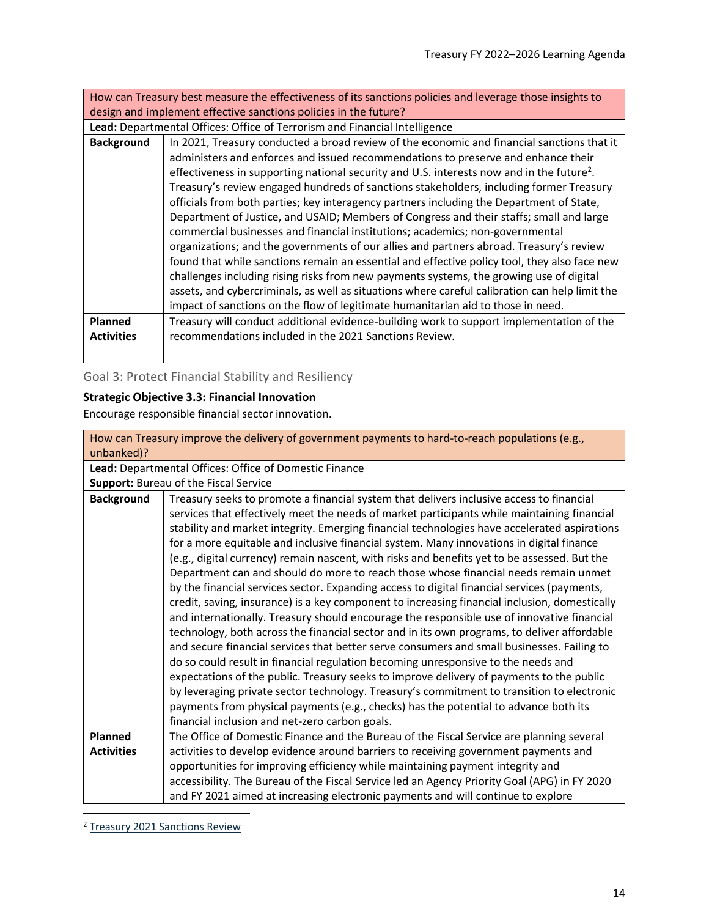<span id="page-13-1"></span>How can Treasury best measure the effectiveness of its sanctions policies and leverage those insights to design and implement effective sanctions policies in the future?

**Lead:** Departmental Offices: Office of Terrorism and Financial Intelligence

| <b>Background</b> | In 2021, Treasury conducted a broad review of the economic and financial sanctions that it<br>administers and enforces and issued recommendations to preserve and enhance their<br>effectiveness in supporting national security and U.S. interests now and in the future <sup>2</sup> .<br>Treasury's review engaged hundreds of sanctions stakeholders, including former Treasury<br>officials from both parties; key interagency partners including the Department of State,<br>Department of Justice, and USAID; Members of Congress and their staffs; small and large<br>commercial businesses and financial institutions; academics; non-governmental<br>organizations; and the governments of our allies and partners abroad. Treasury's review<br>found that while sanctions remain an essential and effective policy tool, they also face new<br>challenges including rising risks from new payments systems, the growing use of digital<br>assets, and cybercriminals, as well as situations where careful calibration can help limit the<br>impact of sanctions on the flow of legitimate humanitarian aid to those in need. |  |  |
|-------------------|-----------------------------------------------------------------------------------------------------------------------------------------------------------------------------------------------------------------------------------------------------------------------------------------------------------------------------------------------------------------------------------------------------------------------------------------------------------------------------------------------------------------------------------------------------------------------------------------------------------------------------------------------------------------------------------------------------------------------------------------------------------------------------------------------------------------------------------------------------------------------------------------------------------------------------------------------------------------------------------------------------------------------------------------------------------------------------------------------------------------------------------------|--|--|
| Planned           | Treasury will conduct additional evidence-building work to support implementation of the                                                                                                                                                                                                                                                                                                                                                                                                                                                                                                                                                                                                                                                                                                                                                                                                                                                                                                                                                                                                                                                |  |  |
|                   |                                                                                                                                                                                                                                                                                                                                                                                                                                                                                                                                                                                                                                                                                                                                                                                                                                                                                                                                                                                                                                                                                                                                         |  |  |
| <b>Activities</b> | recommendations included in the 2021 Sanctions Review.                                                                                                                                                                                                                                                                                                                                                                                                                                                                                                                                                                                                                                                                                                                                                                                                                                                                                                                                                                                                                                                                                  |  |  |
|                   |                                                                                                                                                                                                                                                                                                                                                                                                                                                                                                                                                                                                                                                                                                                                                                                                                                                                                                                                                                                                                                                                                                                                         |  |  |

<span id="page-13-0"></span>Goal 3: Protect Financial Stability and Resiliency

# **Strategic Objective 3.3: Financial Innovation**

Encourage responsible financial sector innovation.

<span id="page-13-2"></span>

| How can Treasury improve the delivery of government payments to hard-to-reach populations (e.g., |                                                                                               |  |  |  |  |
|--------------------------------------------------------------------------------------------------|-----------------------------------------------------------------------------------------------|--|--|--|--|
| unbanked)?                                                                                       |                                                                                               |  |  |  |  |
|                                                                                                  | Lead: Departmental Offices: Office of Domestic Finance                                        |  |  |  |  |
|                                                                                                  | Support: Bureau of the Fiscal Service                                                         |  |  |  |  |
| <b>Background</b>                                                                                | Treasury seeks to promote a financial system that delivers inclusive access to financial      |  |  |  |  |
|                                                                                                  | services that effectively meet the needs of market participants while maintaining financial   |  |  |  |  |
|                                                                                                  | stability and market integrity. Emerging financial technologies have accelerated aspirations  |  |  |  |  |
|                                                                                                  | for a more equitable and inclusive financial system. Many innovations in digital finance      |  |  |  |  |
|                                                                                                  | (e.g., digital currency) remain nascent, with risks and benefits yet to be assessed. But the  |  |  |  |  |
|                                                                                                  | Department can and should do more to reach those whose financial needs remain unmet           |  |  |  |  |
|                                                                                                  | by the financial services sector. Expanding access to digital financial services (payments,   |  |  |  |  |
|                                                                                                  | credit, saving, insurance) is a key component to increasing financial inclusion, domestically |  |  |  |  |
|                                                                                                  | and internationally. Treasury should encourage the responsible use of innovative financial    |  |  |  |  |
|                                                                                                  | technology, both across the financial sector and in its own programs, to deliver affordable   |  |  |  |  |
|                                                                                                  | and secure financial services that better serve consumers and small businesses. Failing to    |  |  |  |  |
|                                                                                                  | do so could result in financial regulation becoming unresponsive to the needs and             |  |  |  |  |
|                                                                                                  | expectations of the public. Treasury seeks to improve delivery of payments to the public      |  |  |  |  |
|                                                                                                  | by leveraging private sector technology. Treasury's commitment to transition to electronic    |  |  |  |  |
|                                                                                                  | payments from physical payments (e.g., checks) has the potential to advance both its          |  |  |  |  |
|                                                                                                  | financial inclusion and net-zero carbon goals.                                                |  |  |  |  |
| Planned                                                                                          | The Office of Domestic Finance and the Bureau of the Fiscal Service are planning several      |  |  |  |  |
| <b>Activities</b>                                                                                | activities to develop evidence around barriers to receiving government payments and           |  |  |  |  |
|                                                                                                  | opportunities for improving efficiency while maintaining payment integrity and                |  |  |  |  |
|                                                                                                  | accessibility. The Bureau of the Fiscal Service led an Agency Priority Goal (APG) in FY 2020  |  |  |  |  |
|                                                                                                  | and FY 2021 aimed at increasing electronic payments and will continue to explore              |  |  |  |  |

<sup>2</sup> [Treasury 2021 Sanctions Review](https://home.treasury.gov/system/files/136/Treasury-2021-sanctions-review.pdf)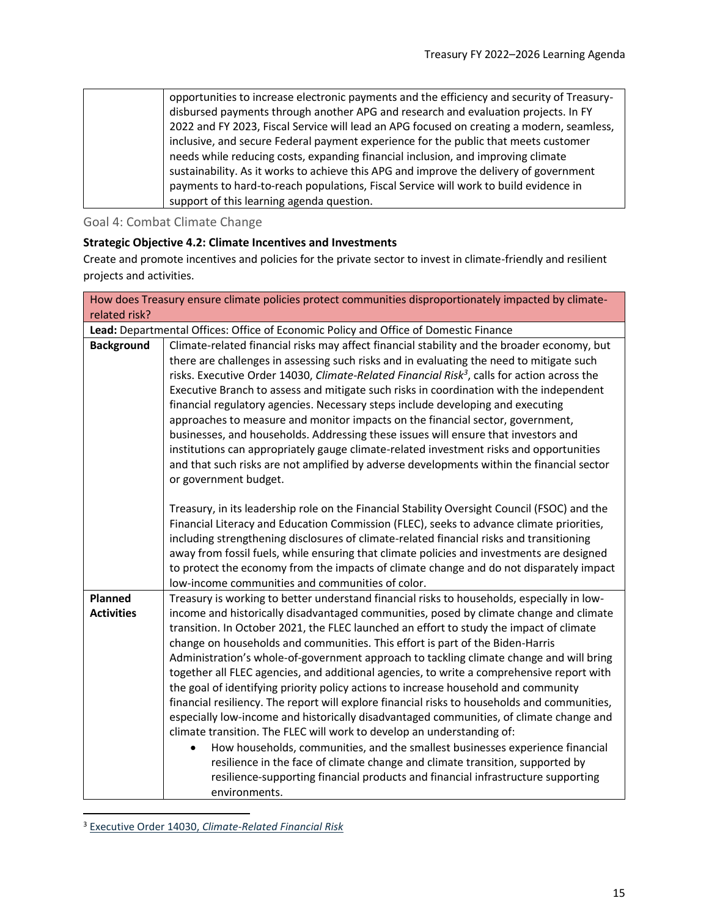| opportunities to increase electronic payments and the efficiency and security of Treasury- |
|--------------------------------------------------------------------------------------------|
| disbursed payments through another APG and research and evaluation projects. In FY         |
| 2022 and FY 2023, Fiscal Service will lead an APG focused on creating a modern, seamless,  |
| inclusive, and secure Federal payment experience for the public that meets customer        |
| needs while reducing costs, expanding financial inclusion, and improving climate           |
| sustainability. As it works to achieve this APG and improve the delivery of government     |
| payments to hard-to-reach populations, Fiscal Service will work to build evidence in       |
| support of this learning agenda question.                                                  |

<span id="page-14-0"></span>Goal 4: Combat Climate Change

## **Strategic Objective 4.2: Climate Incentives and Investments**

Create and promote incentives and policies for the private sector to invest in climate-friendly and resilient projects and activities.

<span id="page-14-1"></span>

| How does Treasury ensure climate policies protect communities disproportionately impacted by climate- |                                                                                                                                                                                                                                                                                                                                                                                                                                                                                                                                                                                                                                                                                                                                                                                                                                                                                                                                                                                                                                                                                                                                                                                             |  |  |
|-------------------------------------------------------------------------------------------------------|---------------------------------------------------------------------------------------------------------------------------------------------------------------------------------------------------------------------------------------------------------------------------------------------------------------------------------------------------------------------------------------------------------------------------------------------------------------------------------------------------------------------------------------------------------------------------------------------------------------------------------------------------------------------------------------------------------------------------------------------------------------------------------------------------------------------------------------------------------------------------------------------------------------------------------------------------------------------------------------------------------------------------------------------------------------------------------------------------------------------------------------------------------------------------------------------|--|--|
| related risk?                                                                                         |                                                                                                                                                                                                                                                                                                                                                                                                                                                                                                                                                                                                                                                                                                                                                                                                                                                                                                                                                                                                                                                                                                                                                                                             |  |  |
|                                                                                                       | Lead: Departmental Offices: Office of Economic Policy and Office of Domestic Finance                                                                                                                                                                                                                                                                                                                                                                                                                                                                                                                                                                                                                                                                                                                                                                                                                                                                                                                                                                                                                                                                                                        |  |  |
| <b>Background</b>                                                                                     | Climate-related financial risks may affect financial stability and the broader economy, but<br>there are challenges in assessing such risks and in evaluating the need to mitigate such<br>risks. Executive Order 14030, Climate-Related Financial Risk <sup>3</sup> , calls for action across the<br>Executive Branch to assess and mitigate such risks in coordination with the independent<br>financial regulatory agencies. Necessary steps include developing and executing<br>approaches to measure and monitor impacts on the financial sector, government,<br>businesses, and households. Addressing these issues will ensure that investors and<br>institutions can appropriately gauge climate-related investment risks and opportunities<br>and that such risks are not amplified by adverse developments within the financial sector<br>or government budget.                                                                                                                                                                                                                                                                                                                   |  |  |
|                                                                                                       | Treasury, in its leadership role on the Financial Stability Oversight Council (FSOC) and the<br>Financial Literacy and Education Commission (FLEC), seeks to advance climate priorities,<br>including strengthening disclosures of climate-related financial risks and transitioning<br>away from fossil fuels, while ensuring that climate policies and investments are designed<br>to protect the economy from the impacts of climate change and do not disparately impact<br>low-income communities and communities of color.                                                                                                                                                                                                                                                                                                                                                                                                                                                                                                                                                                                                                                                            |  |  |
| <b>Planned</b><br><b>Activities</b>                                                                   | Treasury is working to better understand financial risks to households, especially in low-<br>income and historically disadvantaged communities, posed by climate change and climate<br>transition. In October 2021, the FLEC launched an effort to study the impact of climate<br>change on households and communities. This effort is part of the Biden-Harris<br>Administration's whole-of-government approach to tackling climate change and will bring<br>together all FLEC agencies, and additional agencies, to write a comprehensive report with<br>the goal of identifying priority policy actions to increase household and community<br>financial resiliency. The report will explore financial risks to households and communities,<br>especially low-income and historically disadvantaged communities, of climate change and<br>climate transition. The FLEC will work to develop an understanding of:<br>How households, communities, and the smallest businesses experience financial<br>resilience in the face of climate change and climate transition, supported by<br>resilience-supporting financial products and financial infrastructure supporting<br>environments. |  |  |

<sup>3</sup> Executive Order 14030, *[Climate-Related Financial Risk](https://onect.treasuryecm.gov/SE20222/20222-SE-1002/Executive%20Order%2014030,%20Climate-Related%20Financial%20Risk)*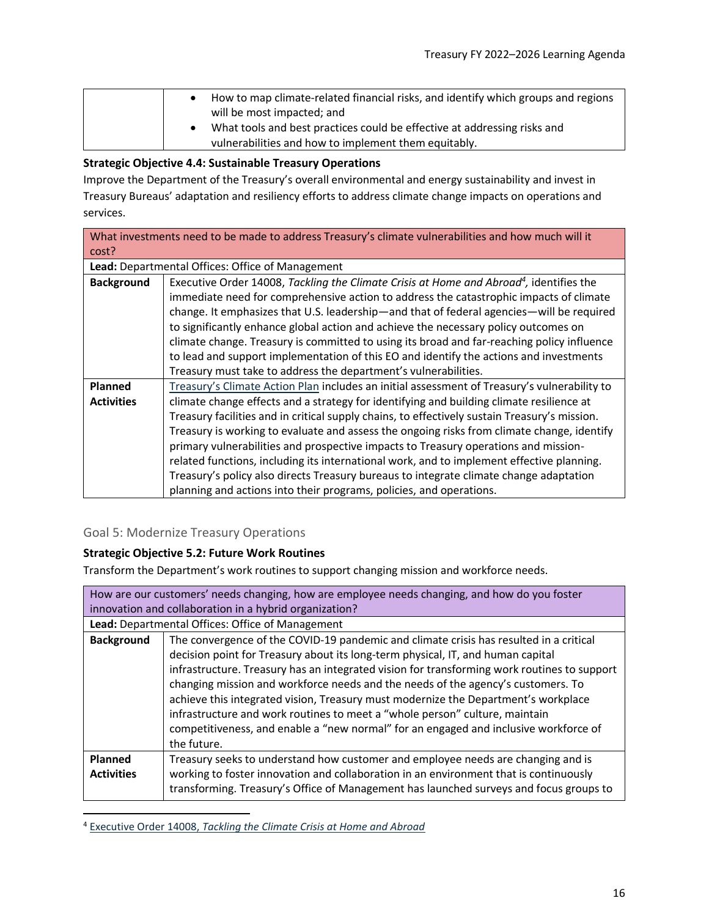| How to map climate-related financial risks, and identify which groups and regions<br>will be most impacted; and                  |
|----------------------------------------------------------------------------------------------------------------------------------|
| What tools and best practices could be effective at addressing risks and<br>vulnerabilities and how to implement them equitably. |

### **Strategic Objective 4.4: Sustainable Treasury Operations**

Improve the Department of the Treasury's overall environmental and energy sustainability and invest in Treasury Bureaus' adaptation and resiliency efforts to address climate change impacts on operations and services.

<span id="page-15-1"></span>

| What investments need to be made to address Treasury's climate vulnerabilities and how much will it |                                                                                                     |  |  |  |  |
|-----------------------------------------------------------------------------------------------------|-----------------------------------------------------------------------------------------------------|--|--|--|--|
| cost?                                                                                               |                                                                                                     |  |  |  |  |
|                                                                                                     | Lead: Departmental Offices: Office of Management                                                    |  |  |  |  |
| <b>Background</b>                                                                                   | Executive Order 14008, Tackling the Climate Crisis at Home and Abroad <sup>4</sup> , identifies the |  |  |  |  |
|                                                                                                     | immediate need for comprehensive action to address the catastrophic impacts of climate              |  |  |  |  |
|                                                                                                     | change. It emphasizes that U.S. leadership—and that of federal agencies—will be required            |  |  |  |  |
|                                                                                                     | to significantly enhance global action and achieve the necessary policy outcomes on                 |  |  |  |  |
|                                                                                                     | climate change. Treasury is committed to using its broad and far-reaching policy influence          |  |  |  |  |
|                                                                                                     | to lead and support implementation of this EO and identify the actions and investments              |  |  |  |  |
|                                                                                                     | Treasury must take to address the department's vulnerabilities.                                     |  |  |  |  |
| <b>Planned</b>                                                                                      | Treasury's Climate Action Plan includes an initial assessment of Treasury's vulnerability to        |  |  |  |  |
| <b>Activities</b>                                                                                   | climate change effects and a strategy for identifying and building climate resilience at            |  |  |  |  |
|                                                                                                     | Treasury facilities and in critical supply chains, to effectively sustain Treasury's mission.       |  |  |  |  |
|                                                                                                     | Treasury is working to evaluate and assess the ongoing risks from climate change, identify          |  |  |  |  |
|                                                                                                     | primary vulnerabilities and prospective impacts to Treasury operations and mission-                 |  |  |  |  |
|                                                                                                     | related functions, including its international work, and to implement effective planning.           |  |  |  |  |
|                                                                                                     | Treasury's policy also directs Treasury bureaus to integrate climate change adaptation              |  |  |  |  |
|                                                                                                     | planning and actions into their programs, policies, and operations.                                 |  |  |  |  |

# <span id="page-15-0"></span>Goal 5: Modernize Treasury Operations

#### **Strategic Objective 5.2: Future Work Routines**

Transform the Department's work routines to support changing mission and workforce needs.

<span id="page-15-2"></span>

| How are our customers' needs changing, how are employee needs changing, and how do you foster |                                                                                                                                                                                                                                                                                                                                                                                                                                                                                                                                                                                                                                          |  |
|-----------------------------------------------------------------------------------------------|------------------------------------------------------------------------------------------------------------------------------------------------------------------------------------------------------------------------------------------------------------------------------------------------------------------------------------------------------------------------------------------------------------------------------------------------------------------------------------------------------------------------------------------------------------------------------------------------------------------------------------------|--|
| innovation and collaboration in a hybrid organization?                                        |                                                                                                                                                                                                                                                                                                                                                                                                                                                                                                                                                                                                                                          |  |
|                                                                                               | Lead: Departmental Offices: Office of Management                                                                                                                                                                                                                                                                                                                                                                                                                                                                                                                                                                                         |  |
| <b>Background</b>                                                                             | The convergence of the COVID-19 pandemic and climate crisis has resulted in a critical<br>decision point for Treasury about its long-term physical, IT, and human capital<br>infrastructure. Treasury has an integrated vision for transforming work routines to support<br>changing mission and workforce needs and the needs of the agency's customers. To<br>achieve this integrated vision, Treasury must modernize the Department's workplace<br>infrastructure and work routines to meet a "whole person" culture, maintain<br>competitiveness, and enable a "new normal" for an engaged and inclusive workforce of<br>the future. |  |
| <b>Planned</b><br><b>Activities</b>                                                           | Treasury seeks to understand how customer and employee needs are changing and is<br>working to foster innovation and collaboration in an environment that is continuously<br>transforming. Treasury's Office of Management has launched surveys and focus groups to                                                                                                                                                                                                                                                                                                                                                                      |  |

<sup>4</sup> Executive Order 14008, *[Tackling the Climate Crisis at Home and Abroad](https://onect.treasuryecm.gov/SE20222/20222-SE-1002/Executive%20Order%2014008,%20Tackling%20the%20Climate%20Crisis%20at%20Home%20and%20Abroad)*